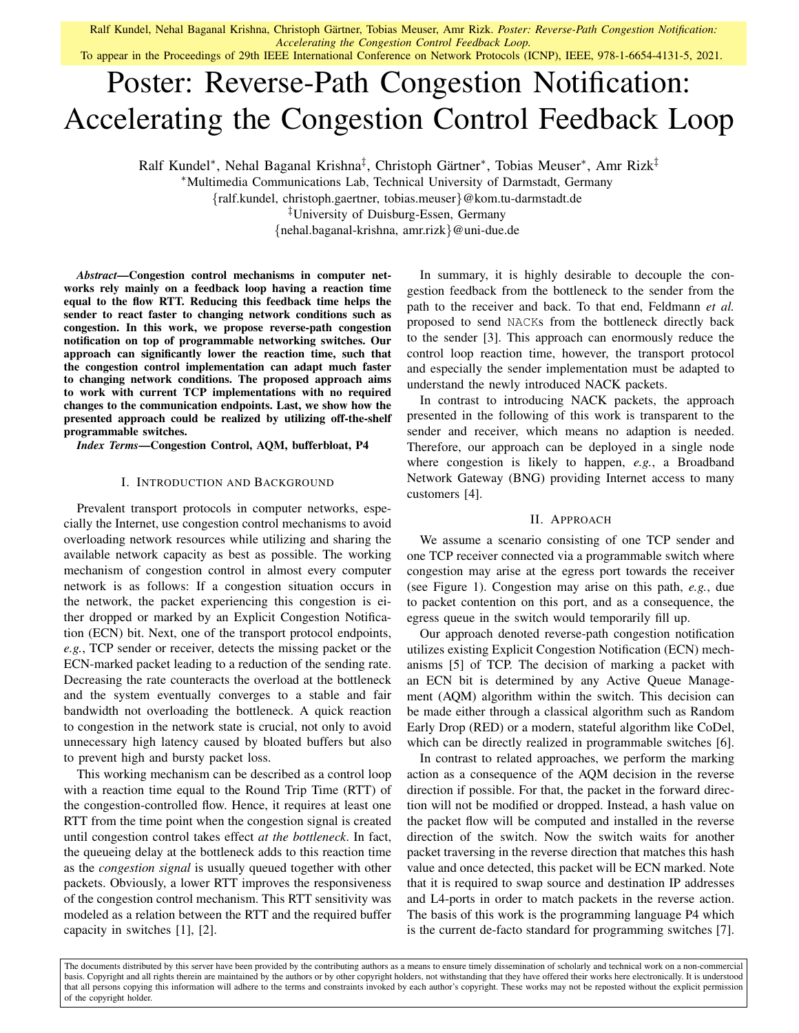Ralf Kundel, Nehal Baganal Krishna, Christoph Gärtner, Tobias Meuser, Amr Rizk. Poster: Reverse-Path Congestion Notification: *Accelerating the Congestion Control Feedback Loop.*

To appear in the Proceedings of 29th IEEE International Conference on Network Protocols (ICNP), IEEE, 978-1-6654-4131-5, 2021.

# Poster: Reverse-Path Congestion Notification: Accelerating the Congestion Control Feedback Loop

Ralf Kundel\*, Nehal Baganal Krishna<sup>‡</sup>, Christoph Gärtner\*, Tobias Meuser\*, Amr Rizk<sup>‡</sup>

<sup>∗</sup>Multimedia Communications Lab, Technical University of Darmstadt, Germany

{ralf.kundel, christoph.gaertner, tobias.meuser}@kom.tu-darmstadt.de

‡University of Duisburg-Essen, Germany

{nehal.baganal-krishna, amr.rizk}@uni-due.de

*Abstract*—Congestion control mechanisms in computer networks rely mainly on a feedback loop having a reaction time equal to the flow RTT. Reducing this feedback time helps the sender to react faster to changing network conditions such as congestion. In this work, we propose reverse-path congestion notification on top of programmable networking switches. Our approach can significantly lower the reaction time, such that the congestion control implementation can adapt much faster to changing network conditions. The proposed approach aims to work with current TCP implementations with no required changes to the communication endpoints. Last, we show how the presented approach could be realized by utilizing off-the-shelf programmable switches.

*Index Terms*—Congestion Control, AQM, bufferbloat, P4

## I. INTRODUCTION AND BACKGROUND

Prevalent transport protocols in computer networks, especially the Internet, use congestion control mechanisms to avoid overloading network resources while utilizing and sharing the available network capacity as best as possible. The working mechanism of congestion control in almost every computer network is as follows: If a congestion situation occurs in the network, the packet experiencing this congestion is either dropped or marked by an Explicit Congestion Notification (ECN) bit. Next, one of the transport protocol endpoints, *e.g.*, TCP sender or receiver, detects the missing packet or the ECN-marked packet leading to a reduction of the sending rate. Decreasing the rate counteracts the overload at the bottleneck and the system eventually converges to a stable and fair bandwidth not overloading the bottleneck. A quick reaction to congestion in the network state is crucial, not only to avoid unnecessary high latency caused by bloated buffers but also to prevent high and bursty packet loss.

This working mechanism can be described as a control loop with a reaction time equal to the Round Trip Time (RTT) of the congestion-controlled flow. Hence, it requires at least one RTT from the time point when the congestion signal is created until congestion control takes effect *at the bottleneck*. In fact, the queueing delay at the bottleneck adds to this reaction time as the *congestion signal* is usually queued together with other packets. Obviously, a lower RTT improves the responsiveness of the congestion control mechanism. This RTT sensitivity was modeled as a relation between the RTT and the required buffer capacity in switches [1], [2].

In summary, it is highly desirable to decouple the congestion feedback from the bottleneck to the sender from the path to the receiver and back. To that end, Feldmann *et al.* proposed to send NACKs from the bottleneck directly back to the sender [3]. This approach can enormously reduce the control loop reaction time, however, the transport protocol and especially the sender implementation must be adapted to understand the newly introduced NACK packets.

In contrast to introducing NACK packets, the approach presented in the following of this work is transparent to the sender and receiver, which means no adaption is needed. Therefore, our approach can be deployed in a single node where congestion is likely to happen, *e.g.*, a Broadband Network Gateway (BNG) providing Internet access to many customers [4].

### II. APPROACH

We assume a scenario consisting of one TCP sender and one TCP receiver connected via a programmable switch where congestion may arise at the egress port towards the receiver (see Figure 1). Congestion may arise on this path, *e.g.*, due to packet contention on this port, and as a consequence, the egress queue in the switch would temporarily fill up.

Our approach denoted reverse-path congestion notification utilizes existing Explicit Congestion Notification (ECN) mechanisms [5] of TCP. The decision of marking a packet with an ECN bit is determined by any Active Queue Management (AQM) algorithm within the switch. This decision can be made either through a classical algorithm such as Random Early Drop (RED) or a modern, stateful algorithm like CoDel, which can be directly realized in programmable switches [6].

In contrast to related approaches, we perform the marking action as a consequence of the AQM decision in the reverse direction if possible. For that, the packet in the forward direction will not be modified or dropped. Instead, a hash value on the packet flow will be computed and installed in the reverse direction of the switch. Now the switch waits for another packet traversing in the reverse direction that matches this hash value and once detected, this packet will be ECN marked. Note that it is required to swap source and destination IP addresses and L4-ports in order to match packets in the reverse action. The basis of this work is the programming language P4 which is the current de-facto standard for programming switches [7].

The documents distributed by this server have been provided by the contributing authors as a means to ensure timely dissemination of scholarly and technical work on a non-commercial basis. Copyright and all rights therein are maintained by the authors or by other copyright holders, not withstanding that they have offered their works here electronically. It is understood that all persons copying this information will adhere to the terms and constraints invoked by each author's copyright. These works may not be reposted without the explicit permission of the copyright holder.